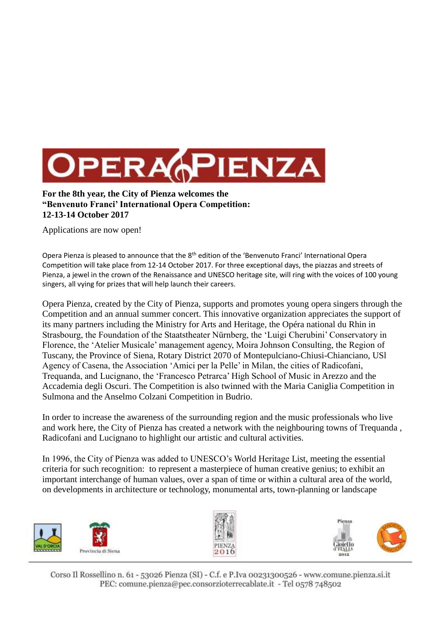

**For the 8th year, the City of Pienza welcomes the "Benvenuto Franci' International Opera Competition: 12-13-14 October 2017**

Applications are now open!

Opera Pienza is pleased to announce that the 8<sup>th</sup> edition of the 'Benvenuto Franci' International Opera Competition will take place from 12-14 October 2017. For three exceptional days, the piazzas and streets of Pienza, a jewel in the crown of the Renaissance and UNESCO heritage site, will ring with the voices of 100 young singers, all vying for prizes that will help launch their careers.

Opera Pienza, created by the City of Pienza, supports and promotes young opera singers through the Competition and an annual summer concert. This innovative organization appreciates the support of its many partners including the Ministry for Arts and Heritage, the Opéra national du Rhin in Strasbourg, the Foundation of the Staatstheater Nürnberg, the 'Luigi Cherubini' Conservatory in Florence, the 'Atelier Musicale' management agency, Moira Johnson Consulting, the Region of Tuscany, the Province of Siena, Rotary District 2070 of Montepulciano-Chiusi-Chianciano, USl Agency of Casena, the Association 'Amici per la Pelle' in Milan, the cities of Radicofani, Trequanda, and Lucignano, the 'Francesco Petrarca' High School of Music in Arezzo and the Accademia degli Oscuri. The Competition is also twinned with the Maria Caniglia Competition in Sulmona and the Anselmo Colzani Competition in Budrio.

In order to increase the awareness of the surrounding region and the music professionals who live and work here, the City of Pienza has created a network with the neighbouring towns of Trequanda , Radicofani and Lucignano to highlight our artistic and cultural activities.

In 1996, the City of Pienza was added to UNESCO's World Heritage List, meeting the essential criteria for such recognition: to represent a masterpiece of human creative genius; to exhibit an important interchange of human values, over a span of time or within a cultural area of the world, on developments in architecture or technology, monumental arts, town-planning or landscape



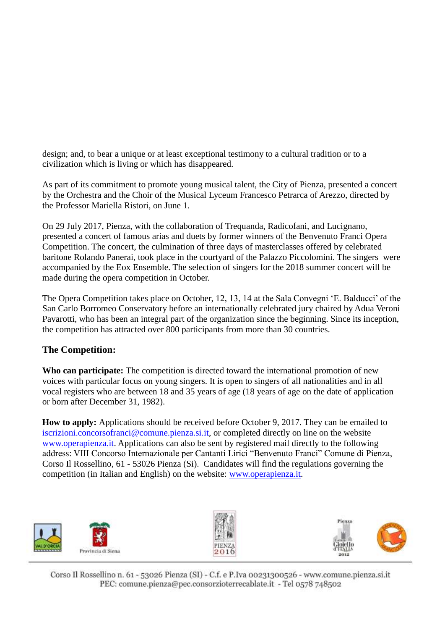design; and, to bear a unique or at least exceptional testimony to a cultural tradition or to a civilization which is living or which has disappeared.

As part of its commitment to promote young musical talent, the City of Pienza, presented a concert by the Orchestra and the Choir of the Musical Lyceum Francesco Petrarca of Arezzo, directed by the Professor Mariella Ristori, on June 1.

On 29 July 2017, Pienza, with the collaboration of Trequanda, Radicofani, and Lucignano, presented a concert of famous arias and duets by former winners of the Benvenuto Franci Opera Competition. The concert, the culmination of three days of masterclasses offered by celebrated baritone Rolando Panerai, took place in the courtyard of the Palazzo Piccolomini. The singers were accompanied by the Eox Ensemble. The selection of singers for the 2018 summer concert will be made during the opera competition in October.

The Opera Competition takes place on October, 12, 13, 14 at the Sala Convegni 'E. Balducci' of the San Carlo Borromeo Conservatory before an internationally celebrated jury chaired by Adua Veroni Pavarotti, who has been an integral part of the organization since the beginning. Since its inception, the competition has attracted over 800 participants from more than 30 countries.

## **The Competition:**

Who can participate: The competition is directed toward the international promotion of new voices with particular focus on young singers. It is open to singers of all nationalities and in all vocal registers who are between 18 and 35 years of age (18 years of age on the date of application or born after December 31, 1982).

**How to apply:** Applications should be received before October 9, 2017. They can be emailed to [iscrizioni.concorsofranci@comune.pienza.si.it,](mailto:iscrizioni.concorsofranci@comune.pienza.si.it) or completed directly on line on the website www.operapienza.it. Applications can also be sent by registered mail directly to the following address: VIII Concorso Internazionale per Cantanti Lirici "Benvenuto Franci" Comune di Pienza, Corso Il Rossellino, 61 - 53026 Pienza (Si). Candidates will find the regulations governing the competition (in Italian and English) on the website: [www.operapienza.it.](http://www.operapienza.it/)





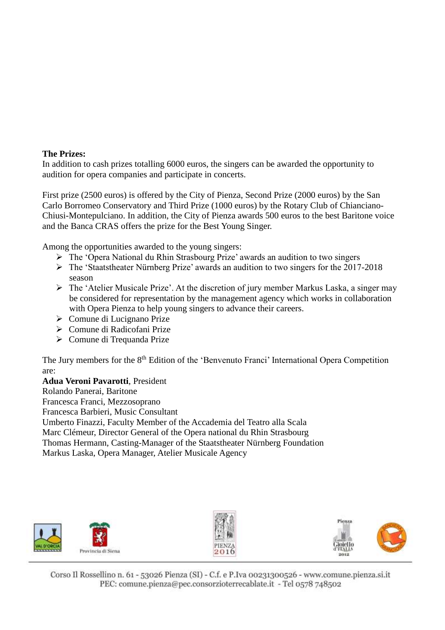## **The Prizes:**

In addition to cash prizes totalling 6000 euros, the singers can be awarded the opportunity to audition for opera companies and participate in concerts.

First prize (2500 euros) is offered by the City of Pienza, Second Prize (2000 euros) by the San Carlo Borromeo Conservatory and Third Prize (1000 euros) by the Rotary Club of Chianciano-Chiusi-Montepulciano. In addition, the City of Pienza awards 500 euros to the best Baritone voice and the Banca CRAS offers the prize for the Best Young Singer.

Among the opportunities awarded to the young singers:

- The 'Opera National du Rhin Strasbourg Prize' awards an audition to two singers
- The 'Staatstheater Nürnberg Prize' awards an audition to two singers for the 2017-2018 season
- The 'Atelier Musicale Prize'. At the discretion of jury member Markus Laska, a singer may be considered for representation by the management agency which works in collaboration with Opera Pienza to help young singers to advance their careers.
- Comune di Lucignano Prize
- Comune di Radicofani Prize
- Comune di Trequanda Prize

The Jury members for the 8<sup>th</sup> Edition of the 'Benvenuto Franci' International Opera Competition are:

**Adua Veroni Pavarotti**, President Rolando Panerai, Baritone Francesca Franci, Mezzosoprano Francesca Barbieri, Music Consultant Umberto Finazzi, Faculty Member of the Accademia del Teatro alla Scala Marc Clémeur, Director General of the Opera national du Rhin Strasbourg Thomas Hermann, Casting-Manager of the Staatstheater Nürnberg Foundation Markus Laska, Opera Manager, Atelier Musicale Agency